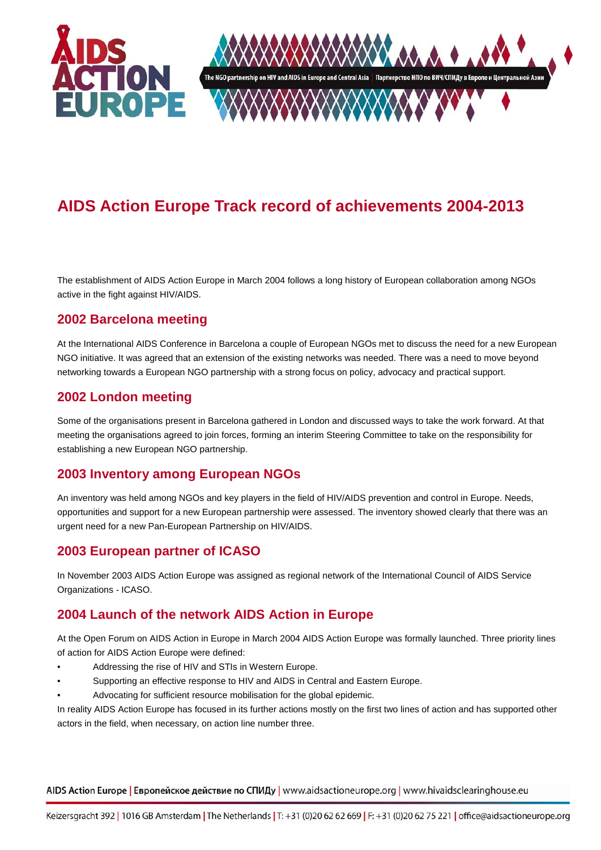

# **AIDS Action Europe Track record of achievements 2004-2013**

The establishment of AIDS Action Europe in March 2004 follows a long history of European collaboration among NGOs active in the fight against HIV/AIDS.

#### **2002 Barcelona meeting**

At the International AIDS Conference in Barcelona a couple of European NGOs met to discuss the need for a new European NGO initiative. It was agreed that an extension of the existing networks was needed. There was a need to move beyond networking towards a European NGO partnership with a strong focus on policy, advocacy and practical support.

#### **2002 London meeting**

Some of the organisations present in Barcelona gathered in London and discussed ways to take the work forward. At that meeting the organisations agreed to join forces, forming an interim Steering Committee to take on the responsibility for establishing a new European NGO partnership.

#### **2003 Inventory among European NGOs**

An inventory was held among NGOs and key players in the field of HIV/AIDS prevention and control in Europe. Needs, opportunities and support for a new European partnership were assessed. The inventory showed clearly that there was an urgent need for a new Pan-European Partnership on HIV/AIDS.

#### **2003 European partner of ICASO**

In November 2003 AIDS Action Europe was assigned as regional network of the International Council of AIDS Service Organizations - ICASO.

#### **2004 Launch of the network AIDS Action in Europe**

At the Open Forum on AIDS Action in Europe in March 2004 AIDS Action Europe was formally launched. Three priority lines of action for AIDS Action Europe were defined:

- Addressing the rise of HIV and STIs in Western Europe.
- Supporting an effective response to HIV and AIDS in Central and Eastern Europe.
- Advocating for sufficient resource mobilisation for the global epidemic.

In reality AIDS Action Europe has focused in its further actions mostly on the first two lines of action and has supported other actors in the field, when necessary, on action line number three.

AIDS Action Europe | Европейское действие по СПИДу | www.aidsactioneurope.org | www.hivaidsclearinghouse.eu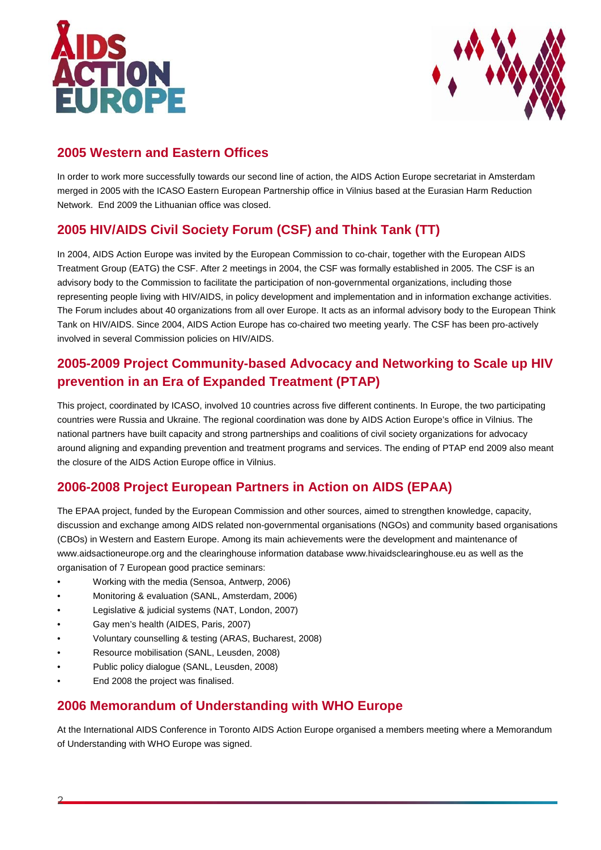



### **2005 Western and Eastern Offices**

In order to work more successfully towards our second line of action, the AIDS Action Europe secretariat in Amsterdam merged in 2005 with the ICASO Eastern European Partnership office in Vilnius based at the Eurasian Harm Reduction Network. End 2009 the Lithuanian office was closed.

# **2005 HIV/AIDS Civil Society Forum (CSF) and Think Tank (TT)**

In 2004, AIDS Action Europe was invited by the European Commission to co-chair, together with the European AIDS Treatment Group (EATG) the CSF. After 2 meetings in 2004, the CSF was formally established in 2005. The CSF is an advisory body to the Commission to facilitate the participation of non-governmental organizations, including those representing people living with HIV/AIDS, in policy development and implementation and in information exchange activities. The Forum includes about 40 organizations from all over Europe. It acts as an informal advisory body to the European Think Tank on HIV/AIDS. Since 2004, AIDS Action Europe has co-chaired two meeting yearly. The CSF has been pro-actively involved in several Commission policies on HIV/AIDS.

# **2005-2009 Project Community-based Advocacy and Networking to Scale up HIV prevention in an Era of Expanded Treatment (PTAP)**

This project, coordinated by ICASO, involved 10 countries across five different continents. In Europe, the two participating countries were Russia and Ukraine. The regional coordination was done by AIDS Action Europe's office in Vilnius. The national partners have built capacity and strong partnerships and coalitions of civil society organizations for advocacy around aligning and expanding prevention and treatment programs and services. The ending of PTAP end 2009 also meant the closure of the AIDS Action Europe office in Vilnius.

# **2006-2008 Project European Partners in Action on AIDS (EPAA)**

The EPAA project, funded by the European Commission and other sources, aimed to strengthen knowledge, capacity, discussion and exchange among AIDS related non-governmental organisations (NGOs) and community based organisations (CBOs) in Western and Eastern Europe. Among its main achievements were the development and maintenance of www.aidsactioneurope.org and the clearinghouse information database www.hivaidsclearinghouse.eu as well as the organisation of 7 European good practice seminars:

- Working with the media (Sensoa, Antwerp, 2006)
- Monitoring & evaluation (SANL, Amsterdam, 2006)
- Legislative & judicial systems (NAT, London, 2007)
- Gay men's health (AIDES, Paris, 2007)
- Voluntary counselling & testing (ARAS, Bucharest, 2008)
- Resource mobilisation (SANL, Leusden, 2008)
- Public policy dialogue (SANL, Leusden, 2008)
- End 2008 the project was finalised.

#### **2006 Memorandum of Understanding with WHO Europe**

At the International AIDS Conference in Toronto AIDS Action Europe organised a members meeting where a Memorandum of Understanding with WHO Europe was signed.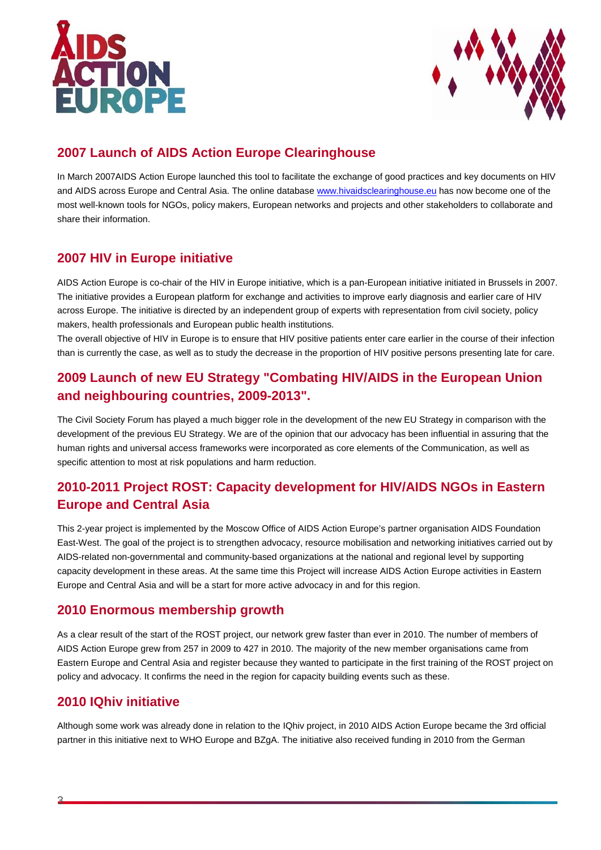



## **2007 Launch of AIDS Action Europe Clearinghouse**

In March 2007AIDS Action Europe launched this tool to facilitate the exchange of good practices and key documents on HIV and AIDS across Europe and Central Asia. The online database [www.hivaidsclearinghouse.eu](http://www.hivaidsclearinghouse.eu/) has now become one of the most well-known tools for NGOs, policy makers, European networks and projects and other stakeholders to collaborate and share their information.

### **2007 HIV in Europe initiative**

AIDS Action Europe is co-chair of the HIV in Europe initiative, which is a pan-European initiative initiated in Brussels in 2007. The initiative provides a European platform for exchange and activities to improve early diagnosis and earlier care of HIV across Europe. The initiative is directed by an independent group of experts with representation from civil society, policy makers, health professionals and European public health institutions.

The overall objective of HIV in Europe is to ensure that HIV positive patients enter care earlier in the course of their infection than is currently the case, as well as to study the decrease in the proportion of HIV positive persons presenting late for care.

# **2009 Launch of new EU Strategy "Combating HIV/AIDS in the European Union and neighbouring countries, 2009-2013".**

The Civil Society Forum has played a much bigger role in the development of the new EU Strategy in comparison with the development of the previous EU Strategy. We are of the opinion that our advocacy has been influential in assuring that the human rights and universal access frameworks were incorporated as core elements of the Communication, as well as specific attention to most at risk populations and harm reduction.

# **2010-2011 Project ROST: Capacity development for HIV/AIDS NGOs in Eastern Europe and Central Asia**

This 2-year project is implemented by the Moscow Office of AIDS Action Europe's partner organisation AIDS Foundation East-West. The goal of the project is to strengthen advocacy, resource mobilisation and networking initiatives carried out by AIDS-related non-governmental and community-based organizations at the national and regional level by supporting capacity development in these areas. At the same time this Project will increase AIDS Action Europe activities in Eastern Europe and Central Asia and will be a start for more active advocacy in and for this region.

#### **2010 Enormous membership growth**

As a clear result of the start of the ROST project, our network grew faster than ever in 2010. The number of members of AIDS Action Europe grew from 257 in 2009 to 427 in 2010. The majority of the new member organisations came from Eastern Europe and Central Asia and register because they wanted to participate in the first training of the ROST project on policy and advocacy. It confirms the need in the region for capacity building events such as these.

#### **2010 IQhiv initiative**

Although some work was already done in relation to the IQhiv project, in 2010 AIDS Action Europe became the 3rd official partner in this initiative next to WHO Europe and BZgA. The initiative also received funding in 2010 from the German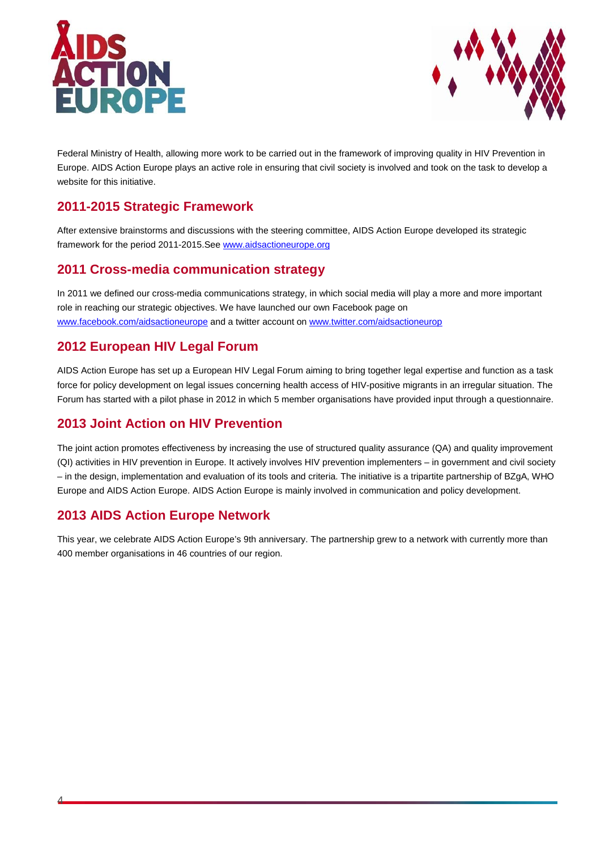



Federal Ministry of Health, allowing more work to be carried out in the framework of improving quality in HIV Prevention in Europe. AIDS Action Europe plays an active role in ensuring that civil society is involved and took on the task to develop a website for this initiative.

### **2011-2015 Strategic Framework**

After extensive brainstorms and discussions with the steering committee, AIDS Action Europe developed its strategic framework for the period 2011-2015.See [www.aidsactioneurope.org](http://www.aidsactioneurope.org/)

### **2011 Cross-media communication strategy**

In 2011 we defined our cross-media communications strategy, in which social media will play a more and more important role in reaching our strategic objectives. We have launched our own Facebook page on [www.facebook.com/aidsactioneurope](http://www.facebook.com/aidsactioneurope) and a twitter account on [www.twitter.com/aidsactioneurop](http://www.twitter.com/aidsactioneurop)

#### **2012 European HIV Legal Forum**

AIDS Action Europe has set up a European HIV Legal Forum aiming to bring together legal expertise and function as a task force for policy development on legal issues concerning health access of HIV-positive migrants in an irregular situation. The Forum has started with a pilot phase in 2012 in which 5 member organisations have provided input through a questionnaire.

### **2013 Joint Action on HIV Prevention**

The joint action promotes effectiveness by increasing the use of structured quality assurance (QA) and quality improvement (QI) activities in HIV prevention in Europe. It actively involves HIV prevention implementers – in government and civil society – in the design, implementation and evaluation of its tools and criteria. The initiative is a tripartite partnership of BZgA, WHO Europe and AIDS Action Europe. AIDS Action Europe is mainly involved in communication and policy development.

### **2013 AIDS Action Europe Network**

4

This year, we celebrate AIDS Action Europe's 9th anniversary. The partnership grew to a network with currently more than 400 member organisations in 46 countries of our region.